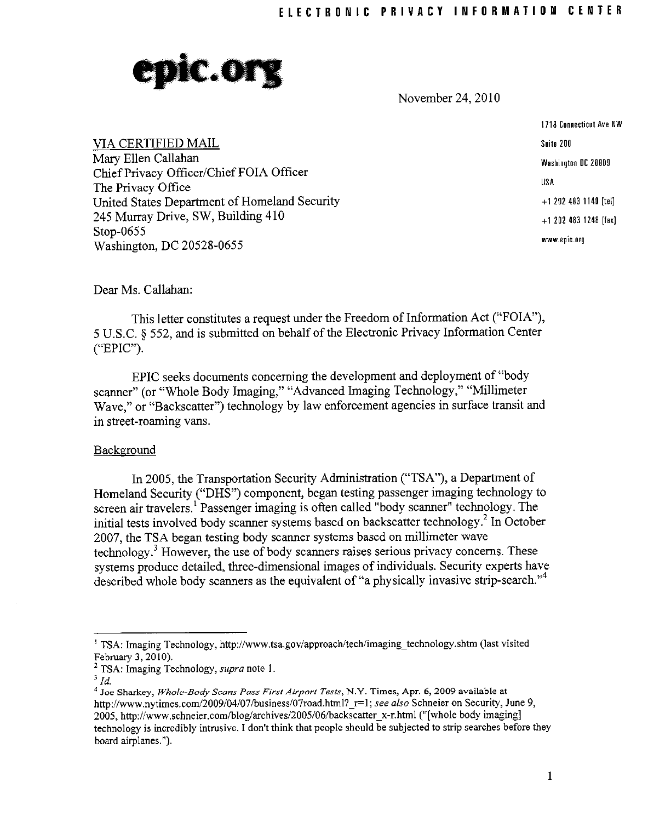

November 24,2010

1118 Connecticut Ave NW Suite 200 Washington DC 20009 USA + 1 202 483 1140 [tel[ +1 202 483 1248 [fax] **www.epic.org** 

VIA CERTIFIED MAIL Mary Ellen Callahan Chief Privacy Officer/Chief FOIA Officer The Privacy Office United States Department of Homeland Security 245 Murray Drive, SW, Building 410 Stop-0655 Washington, DC 20528·0655

Dear Ms, Callahan:

This letter constitutes a request under the Freedom of Information Act ("FOIA"), 5 U,S,C, § 552, and is submitted on behalf of the Electronic Privacy Information Center ("EPIC"),

EPIC seeks documents concerning the development and deployment of "body scanner" (or "Whole Body Imaging," "Advanced Imaging Technology," "Millimeter Wave," or "Backscatter") technology by law enforcement agencies in surface transit and in street-roaming vans,

## Background

In 2005, the Transportation Security Administration ("TSA"), a Department of Homeland Security ("DHS") component, began testing passenger imaging technology to screen air travelers,<sup>1</sup> Passenger imaging is often called "body scanner" technology. The initial tests involved body scanner systems based on backscatter technology.<sup>2</sup> In October 2007, the TSA began testing body scanner systems based on millimeter wave technology,<sup>3</sup> However, the use of body scanners raises serious privacy concerns. These systems produce detailed, three-dimensional images of individuals. Security experts have described whole body scanners as the equivalent of "a physically invasive strip-search."<sup>4</sup>

<sup>&</sup>lt;sup>1</sup> TSA: Imaging Technology, http://www.tsa.gov/approach/tech/imaging\_technology.shtm (last visited February 3, 2010).

<sup>2</sup> TSA: Imaging Technology, *supra* note 1. 3 *[d.* 

<sup>4</sup>**Joe Sharkey,** *Whole-Body Scans Pass First Airport* Tests~ **N,Y, Times, Apr. 6,2009 available at**  http://www.nytimes.com/2009/04/07/business/07road.html? r=1; see also Schneier on Security, June 9, 2005, http://www.schneier.com/blog/archives/2005/06/backscatter x-r.html ("[whole body imaging] technology is incredibly intrusive. I don't think that people should be subjected to strip searches before they board airplanes. ").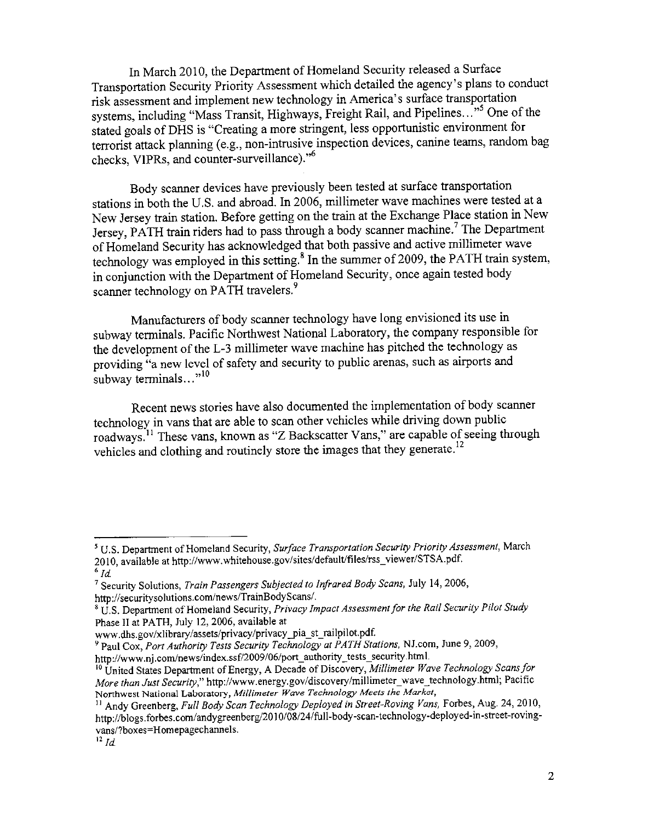In March 2010, the Department of Homeland Security released a Surface Transportation Security Priority Assessment which detailed the agency's plans to conduct risk assessment and implement new technology in America's surface transportation systems, including "Mass Transit, Highways, Freight Rail, and Pipelines..."<sup>55</sup> One of the stated goals of DHS is "Creating a more stringent, less opportunistic environment for terrorist attack planning (e.g., non-intrusive inspection devices, canine teams, random bag checks, VIPRs, and counter-surveillance)."<sup>6</sup>

Body scanner devices have previously been tested at surface transportation stations in both the U.S. and abroad. In 2006, millimeter wave machines were tested at a New Jersey train station. Before getting on the train at the Exchange Place station in New Jersey, PATH train riders had to pass through a body scanner machine.<sup>7</sup> The Department of Homeland Security has acknowledged that both passive and active millimeter wave technology was employed in this setting.<sup>8</sup> In the summer of 2009, the PATH train system, in conjunction with the Department of Homeland Security, once again tested body scanner technology on PATH travelers.<sup>9</sup>

Manufacturers of body scanner technology have long envisioned its use in subway terminals. Pacific Northwest National Laboratory, the company responsible for the development of the L-3 millimeter wave machine has pitched the technology as providing "a new level of safety and security to public arenas, such as airports and subway terminals  $\cdots$ <sup>10</sup>

Recent news stories have also documented the implementation of body scanner technology in vans that are able to scan other vehicles while driving down public roadways.<sup>11</sup> These vans, known as "Z Backscatter Vans," are capable of seeing through vehicles and clothing and routinely store the images that they generate.<sup>12</sup>

<sup>5</sup> U.S. Department of Homeland Security, *Surface Transportation Security Priority Assessment,* March 2010, available at http://www.whitehouse.gov/sites/default/files/rss\_viewer/STSA.pdf.

 $6$   $Id$ 

<sup>7</sup> Security Solutions, *Train Passengers Subjected to Infrared Body Scans,* July 14,2006, http://securitysolutions.com/news/TrainBodyScans/.

<sup>&</sup>lt;sup>8</sup> U.S. Department of Homeland Security, *Privacy Impact Assessment for the Rail Security Pilot Study* Phase II at PATH, July 12, 2006, available at

www.dhs.gov/xlibrary/assets/privacy/privacy pia st railpilot.pdf.

<sup>9</sup> Paul Cox, *Port Authority Tests Security Technology at PATH Stattons,* NJ.com, June 9, 2009,

http://www.nj.com/news/index.ssf/2009/06/port\_authority\_tests\_security.html.

<sup>10</sup> United States Department of Energy, A Decade of Discovery, *Millimeter Wave Technology Scans for More than Just Security," http://www.energy.gov/discovery/millimeter\_wave\_technology.html; Pacific* **Northwest National Laboratory,** *Millimeter Wave Technology Meets the Market,* 

<sup>&</sup>lt;sup>11</sup> Andy Greenberg, *Full Body Scan Technology Deployed in Street-Roving Vans, Forbes, Aug.* 24, 2010, http://blogs.forbes.com/andygreenberg/2010/08/24/full-body-scan-technology-deployed-in-street-rovingvans/?boxes=Homepagechannels.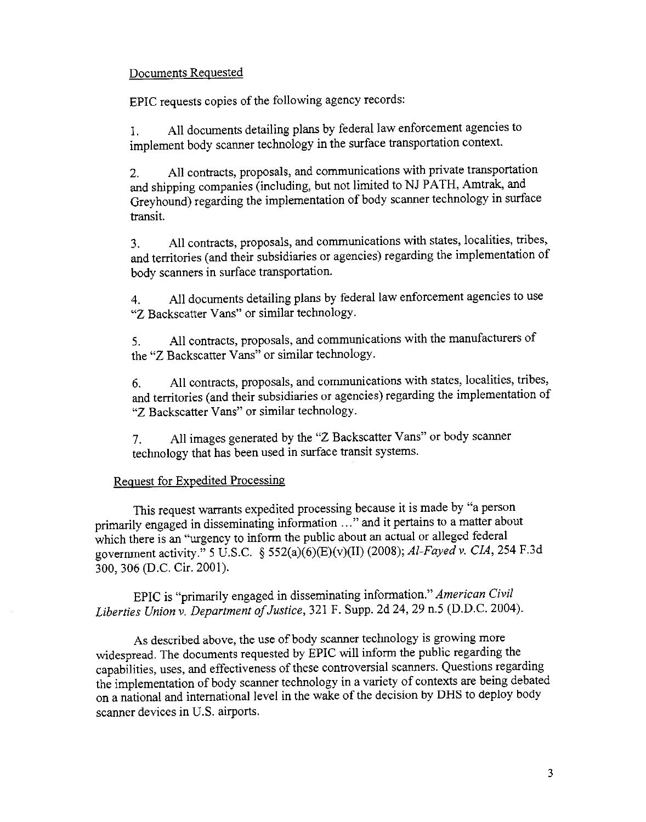## Documents Requested

EPIC requests copies of the following agency records:

1. All documents detailing plans by federal law enforcement agencies to implement body scanner technology in the surface transportation context.

2. All contracts, proposals, and communications with private transportation and shipping companies (including, but not limited to NJ PATH, Amtrak, and Greyhound) regarding the implementation of body scanner technology in surface transit.

3. All contracts, proposals, and communications with states, localities, tribes, and territories (and their subsidiaries or agencies) regarding the implementation of body scanners in surface transportation.

4. All documents detailing plans by federal law enforcement agencies to use "2 Backscatter Vans" or similar technology.

5. All contracts, proposals, and communications with the manufacturers of the "Z Backscatter Vans" or similar technology.

6. All contracts, proposals, and communications with states, localities, tribes, and territories (and their subsidiaries or agencies) regarding the implementation of "2 Backscatter Vans" or similar technology.

7. All images generated by the "Z Backscatter Vans" or body scanner technology that has been used in surface transit systems.

## Request for Expedited Processing

This request warrants expedited processing because it is made by "a person primarily engaged in disseminating information ... " and it pertains to a matter about which there is an "urgency to inform the public about an actual or alleged federal government activity." 5 U.S.C. § 552(a)(6)(E)(v)(II) (2008); *Al-Fayed* v. *CIA,* 254 F.3d 300,306 (D.C. Cir. 2001).

EPIC is "primarily engaged in disseminating information." *American Civil Liberties Union* v. *Department of Justice,* 321 F. Supp. 2d 24, 29 n.5 (D.D.C. 2004).

As described above, the use of body scanner technology is growing more widespread. The documents requested by EPIC will inform the public regarding the capahilities, uses, and effectiveness of these controversial scanners. Questions regarding the implementation of body scanner technology in a variety of contexts are being debated on a national and international level in the wake of the decision by DHS to deploy body scanner devices in U.S. airports.